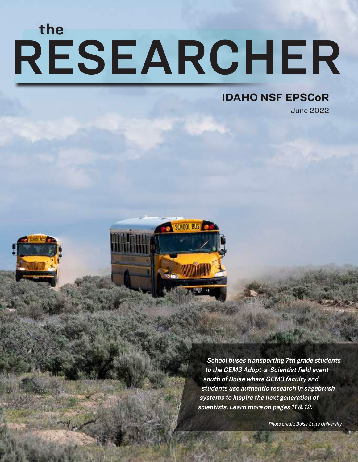# RESEARCHER the

#### **IDAHO NSF EPSCoR**

June 2022



School buses transporting 7th grade students to the GEM3 Adopt-a-Scientist field event south of Boise where GEM3 faculty and students use authentic research in sagebrush systems to inspire the next generation of scientists. Learn more on pages 11 & 12.

*Photo credit: Boise State University*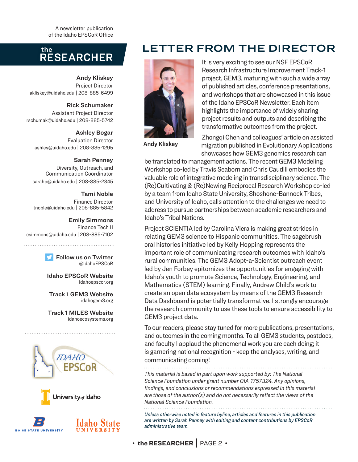A newsletter publication of the Idaho EPSCoR Office

#### RESEARCHER the

Andy Kliskey Project Director akliskey@uidaho.edu | 208-885-6499

Rick Schumaker Assistant Project Director rschumak@uidaho.edu | 208-885-5742

Ashley Bogar

Evaluation Director ashley@uidaho.edu | 208-885-1295

#### Sarah Penney

Diversity, Outreach, and Communication Coordinator sarahp@uidaho.edu | 208-885-2345

#### Tami Noble

Finance Director tnoble@uidaho.edu | 208-885-5842

#### Emily Simmons

Finance Tech II esimmons@uidaho.edu | 208-885-7102

Follow us on Twitter @IdahoEPSCoR

Idaho EPSCoR Website idahoepscor.org

Track 1 GEM3 Website idahogem3.org

Track 1 MILES Website idahoecosystems.org







#### TER FROM THE DIRECTOR



It is very exciting to see our NSF EPSCoR Research Infrastructure Improvement Track-1 project, GEM3, maturing with such a wide array of published articles, conference presentations, and workshops that are showcased in this issue of the Idaho EPSCoR Newsletter. Each item highlights the importance of widely sharing project results and outputs and describing the transformative outcomes from the project.

Andy Kliskey

Zhongqi Chen and colleagues' article on assisted migration published in Evolutionary Applications showcases how GEM3 genomics research can

be translated to management actions. The recent GEM3 Modeling Workshop co-led by Travis Seaborn and Chris Caudill embodies the valuable role of integrative modeling in transdisciplinary science. The (Re)Cultivating & (Re)Newing Reciprocal Research Workshop co-led by a team from Idaho State University, Shoshone-Bannock Tribes, and University of Idaho, calls attention to the challenges we need to address to pursue partnerships between academic researchers and Idaho's Tribal Nations.

Project SCIENTIA led by Carolina Viera is making great strides in relating GEM3 science to Hispanic communities. The sagebrush oral histories initiative led by Kelly Hopping represents the important role of communicating research outcomes with Idaho's rural communities. The GEM3 Adopt-a-Scientist outreach event led by Jen Forbey epitomizes the opportunities for engaging with Idaho's youth to promote Science, Technology, Engineering, and Mathematics (STEM) learning. Finally, Andrew Child's work to create an open data ecosystem by means of the GEM3 Research Data Dashboard is potentially transformative. I strongly encourage the research community to use these tools to ensure accessibility to GEM3 project data.

To our readers, please stay tuned for more publications, presentations, and outcomes in the coming months. To all GEM3 students, postdocs, and faculty I applaud the phenomenal work you are each doing; it is garnering national recognition - keep the analyses, writing, and communicating coming!

*This material is based in part upon work supported by: The National Science Foundation under grant number OIA-1757324. Any opinions, findings, and conclusions or recommendations expressed in this material are those of the author(s) and do not necessarily reflect the views of the National Science Foundation.*

*Unless otherwise noted in feature byline, articles and features in this publication are written by Sarah Penney with editing and content contributions by EPSCoR administrative team.*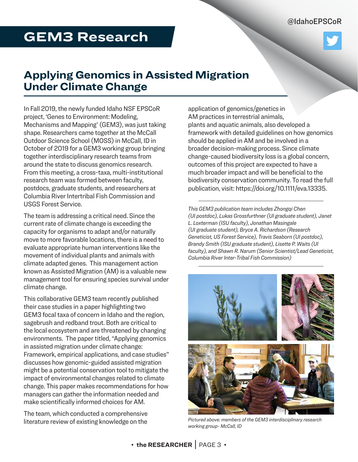@IdahoEPSCoR

# **GEM3 Research**

#### **Applying Genomics in Assisted Migration Under Climate Change**

In Fall 2019, the newly funded Idaho NSF EPSCoR project, 'Genes to Environment: Modeling, Mechanisms and Mapping' (GEM3), was just taking shape. Researchers came together at the McCall Outdoor Science School (MOSS) in McCall, ID in October of 2019 for a GEM3 working group bringing together interdisciplinary research teams from around the state to discuss genomics research. From this meeting, a cross-taxa, multi-institutional research team was formed between faculty, postdocs, graduate students, and researchers at Columbia River Intertribal Fish Commission and USGS Forest Service.

The team is addressing a critical need. Since the current rate of climate change is exceeding the capacity for organisms to adapt and/or naturally move to more favorable locations, there is a need to evaluate appropriate human interventions like the movement of individual plants and animals with climate adapted genes. This management action known as Assisted Migration (AM) is a valuable new management tool for ensuring species survival under climate change.

This collaborative GEM3 team recently published their case studies in a paper highlighting two GEM3 focal taxa of concern in Idaho and the region, sagebrush and redband trout. Both are critical to the local ecosystem and are threatened by changing environments. The paper titled, "Applying genomics in assisted migration under climate change: Framework, empirical applications, and case studies" discusses how genomic-guided assisted migration might be a potential conservation tool to mitigate the impact of environmental changes related to climate change. This paper makes recommendations for how managers can gather the information needed and make scientifically informed choices for AM.

The team, which conducted a comprehensive literature review of existing knowledge on the

application of genomics/genetics in AM practices in terrestrial animals, plants and aquatic animals, also developed a framework with detailed guidelines on how genomics should be applied in AM and be involved in a broader decision-making process. Since climate change-caused biodiversity loss is a global concern, outcomes of this project are expected to have a much broader impact and will be beneficial to the biodiversity conservation community. To read the full publication, visit: https://doi.org/10.1111/eva.13335.

*This GEM3 publication team includes Zhongqi Chen (UI postdoc), Lukas Grossfurthner (UI graduate student), Janet L. Loxterman (ISU faculty), Jonathan Masingale (UI graduate student), Bryce A. Richardson (Research Geneticist, US Forest Service), Travis Seaborn (UI postdoc), Brandy Smith (ISU graduate student), Lisette P. Waits (UI faculty), and Shawn R. Narum (Senior Scientist/Lead Geneticist, Columbia River Inter-Tribal Fish Commission)*



*Pictured above: members of the GEM3 interdisciplinary research working group- McCall, ID*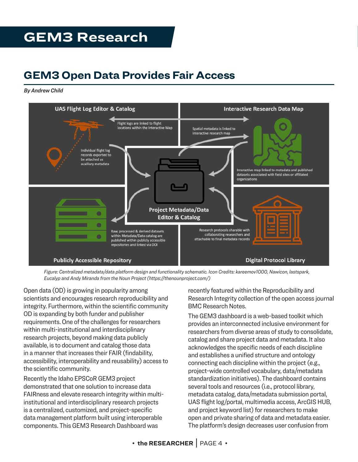# **GEM3 Research**

#### **GEM3 Open Data Provides Fair Access**

*By Andrew Child*



*Figure: Centralized metadata/data platform design and functionality schematic. Icon Credits: kareemov1000, Nawicon, lastspark, Eucalyp and Andy Miranda from the Noun Project (https://thenounproject.com/)*

Open data (OD) is growing in popularity among scientists and encourages research reproducibility and integrity. Furthermore, within the scientific community OD is expanding by both funder and publisher requirements. One of the challenges for researchers within multi-institutional and interdisciplinary research projects, beyond making data publicly available, is to document and catalog those data in a manner that increases their FAIR (findability, accessibility, interoperability and reusability) access to the scientific community.

Recently the Idaho EPSCoR GEM3 project demonstrated that one solution to increase data FAIRness and elevate research integrity within multiinstitutional and interdisciplinary research projects is a centralized, customized, and project-specific data management platform built using interoperable components. This GEM3 Research Dashboard was

recently featured within the Reproducibility and Research Integrity collection of the open access journal BMC Research Notes.

The GEM3 dashboard is a web-based toolkit which provides an interconnected inclusive environment for researchers from diverse areas of study to consolidate, catalog and share project data and metadata. It also acknowledges the specific needs of each discipline and establishes a unified structure and ontology connecting each discipline within the project (e.g., project-wide controlled vocabulary, data/metadata standardization initiatives). The dashboard contains several tools and resources (i.e., protocol library, metadata catalog, data/metadata submission portal, UAS flight log/portal, multimedia access, ArcGIS HUB, and project keyword list) for researchers to make open and private sharing of data and metadata easier. The platform's design decreases user confusion from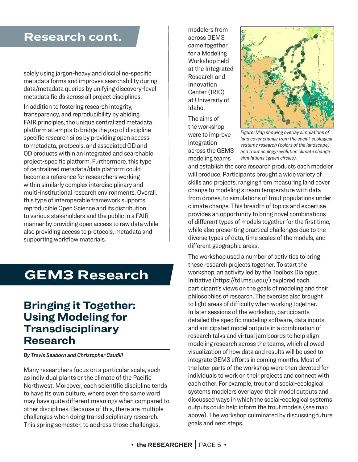#### **Research cont.**

solely using jargon-heavy and discipline-specific metadata forms and improves searchability during data/metadata queries by unifying discovery-level metadata fields across all project disciplines.

In addition to fostering research integrity, transparency, and reproducibility by abiding FAIR principles, the unique centralized metadata platform attempts to bridge the gap of discipline specific research silos by providing open access to metadata, protocols, and associated OD and OD products within an integrated and searchable project-specific platform. Furthermore, this type of centralized metadata/data platform could become a reference for researchers working within similarly complex interdisciplinary and multi-institutional research environments. Overall, this type of interoperable framework supports reproducible Open Science and its distribution to various stakeholders and the public in a FAIR manner by providing open access to raw data while also providing access to protocols, metadata and supporting workflow materials.

## **GEM3 Research**

#### **Bringing it Together: Using Modeling for Transdisciplinary Research**

*By Travis Seaborn and Christopher Caudill*

Many researchers focus on a particular scale, such as individual plants or the climate of the Pacific Northwest. Moreover, each scientific discipline tends to have its own culture, where even the same word may have quite different meanings when compared to other disciplines. Because of this, there are multiple challenges when doing transdisciplinary research. This spring semester, to address those challenges,

modelers from across GEM3 came together for a Modeling Workshop held at the Integrated Research and Innovation Center (IRIC) at University of Idaho.

The aims of the workshop were to improve integration across the GEM3 modeling teams



*Figure: Map showing overlay simulations of land cover change from the social-ecological systems research (colors of the landscape) and trout ecology-evolution climate change simulations (green circles).*

and establish the core research products each modeler will produce. Participants brought a wide variety of skills and projects, ranging from measuring land cover change to modeling stream temperature with data from drones, to simulations of trout populations under climate change. This breadth of topics and expertise provides an opportunity to bring novel combinations of different types of models together for the first time, while also presenting practical challenges due to the diverse types of data, time scales of the models, and different geographic areas.

The workshop used a number of activities to bring these research projects together. To start the workshop, an activity led by the Toolbox Dialogue Initiative (https://tdi.msu.edu/) explored each participant's views on the goals of modeling and their philosophies of research. The exercise also brought to light areas of difficulty when working together. In later sessions of the workshop, participants detailed the specific modeling software, data inputs, and anticipated model outputs in a combination of research talks and virtual jam boards to help align modeling research across the teams, which allowed visualization of how data and results will be used to integrate GEM3 efforts in coming months. Most of the later parts of the workshop were then devoted for individuals to work on their projects and connect with each other. For example, trout and social-ecological systems modelers overlayed their model outputs and discussed ways in which the social-ecological systems outputs could help inform the trout models (see map above). The workshop culminated by discussing future goals and next steps.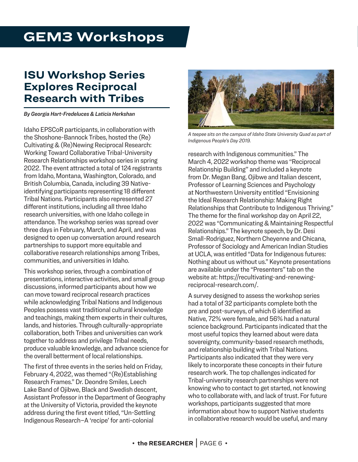# **GEM3 Workshops**

#### **ISU Workshop Series Explores Reciprocal Research with Tribes**

*By Georgia Hart-Fredeluces & Laticia Herkshan*

Idaho EPSCoR participants, in collaboration with the Shoshone-Bannock Tribes, hosted the (Re) Cultivating & (Re)Newing Reciprocal Research: Working Toward Collaborative Tribal-University Research Relationships workshop series in spring 2022. The event attracted a total of 124 registrants from Idaho, Montana, Washington, Colorado, and British Columbia, Canada, including 39 Nativeidentifying participants representing 18 different Tribal Nations. Participants also represented 27 different institutions, including all three Idaho research universities, with one Idaho college in attendance. The workshop series was spread over three days in February, March, and April, and was designed to open up conversation around research partnerships to support more equitable and collaborative research relationships among Tribes, communities, and universities in Idaho.

This workshop series, through a combination of presentations, interactive activities, and small group discussions, informed participants about how we can move toward reciprocal research practices while acknowledging Tribal Nations and Indigenous Peoples possess vast traditional cultural knowledge and teachings, making them experts in their cultures, lands, and histories. Through culturally-appropriate collaboration, both Tribes and universities can work together to address and privilege Tribal needs, produce valuable knowledge, and advance science for the overall betterment of local relationships.

The first of three events in the series held on Friday, February 4, 2022, was themed "(Re)Establishing Research Frames." Dr. Deondre Smiles, Leech Lake Band of Ojibwe, Black and Swedish descent, Assistant Professor in the Department of Geography at the University of Victoria, provided the keynote address during the first event titled, "Un-Settling Indigenous Research–A 'recipe' for anti-colonial



*A teepee sits on the campus of Idaho State University Quad as part of Indigenous People's Day 2019.*

research with Indigenous communities." The March 4, 2022 workshop theme was "Reciprocal Relationship Building" and included a keynote from Dr. Megan Bang, Ojibwe and Italian descent, Professor of Learning Sciences and Psychology at Northwestern University entitled "Envisioning the Ideal Research Relationship: Making Right Relationships that Contribute to Indigenous Thriving." The theme for the final workshop day on April 22, 2022 was "Communicating & Maintaining Respectful Relationships." The keynote speech, by Dr. Desi Small-Rodriguez, Northern Cheyenne and Chicana, Professor of Sociology and American Indian Studies at UCLA, was entitled "Data for Indigenous futures: Nothing about us without us." Keynote presentations are available under the "Presenters" tab on the website at: https://recultivating-and-renewingreciprocal-research.com/.

A survey designed to assess the workshop series had a total of 32 participants complete both the pre and post-surveys, of which 6 identified as Native, 72% were female, and 56% had a natural science background. Participants indicated that the most useful topics they learned about were data sovereignty, community-based research methods, and relationship building with Tribal Nations. Participants also indicated that they were very likely to incorporate these concepts in their future research work. The top challenges indicated for Tribal-university research partnerships were not knowing who to contact to get started, not knowing who to collaborate with, and lack of trust. For future workshops, participants suggested that more information about how to support Native students in collaborative research would be useful, and many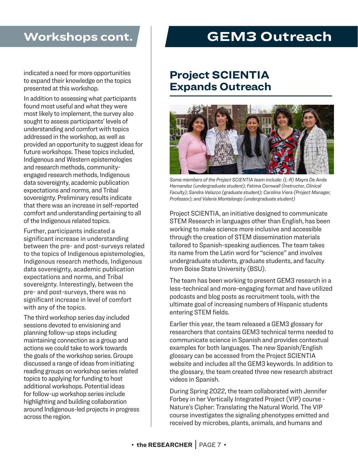#### **Workshops cont.**

indicated a need for more opportunities to expand their knowledge on the topics presented at this workshop.

In addition to assessing what participants found most useful and what they were most likely to implement, the survey also sought to assess participants' levels of understanding and comfort with topics addressed in the workshop, as well as provided an opportunity to suggest ideas for future workshops. These topics included, Indigenous and Western epistemologies and research methods, communityengaged research methods, Indigenous data sovereignty, academic publication expectations and norms, and Tribal sovereignty. Preliminary results indicate that there was an increase in self-reported comfort and understanding pertaining to all of the Indigenous related topics.

Further, participants indicated a significant increase in understanding between the pre- and post-surveys related to the topics of Indigenous epistemologies, Indigenous research methods, Indigenous data sovereignty, academic publication expectations and norms, and Tribal sovereignty. Interestingly, between the pre- and post-surveys, there was no significant increase in level of comfort with any of the topics.

The third workshop series day included sessions devoted to envisioning and planning follow-up steps including maintaining connection as a group and actions we could take to work towards the goals of the workshop series. Groups discussed a range of ideas from initiating reading groups on workshop series related topics to applying for funding to host additional workshops. Potential ideas for follow-up workshop series include highlighting and building collaboration around Indigenous-led projects in progress across the region.

# **GEM3 Outreach**

#### **Project SCIENTIA Expands Outreach**



*Some members of the Project SCIENTIA team include: (L-R) Mayra De Anda Hernandez (undergraduate student); Fatima Cornwall (Instructor, Clinical Faculty); Sandra Velazco (graduate student); Carolina Viera (Project Manager, Professor); and Valeria Montelongo (undergraduate student)*

Project SCIENTIA, an initiative designed to communicate STEM Research in languages other than English, has been working to make science more inclusive and accessible through the creation of STEM dissemination materials tailored to Spanish-speaking audiences. The team takes its name from the Latin word for "science" and involves undergraduate students, graduate students, and faculty from Boise State University (BSU).

The team has been working to present GEM3 research in a less-technical and more-engaging format and have utilized podcasts and blog posts as recruitment tools, with the ultimate goal of increasing numbers of Hispanic students entering STEM fields.

Earlier this year, the team released a GEM3 glossary for researchers that contains GEM3 technical terms needed to communicate science in Spanish and provides contextual examples for both languages. The new Spanish/English glossary can be accessed from the Project SCIENTIA website and includes all the GEM3 keywords. In addition to the glossary, the team created three new research abstract videos in Spanish.

During Spring 2022, the team collaborated with Jennifer Forbey in her Vertically Integrated Project (VIP) course - Nature's Cipher: Translating the Natural World. The VIP course investigates the signaling phenotypes emitted and received by microbes, plants, animals, and humans and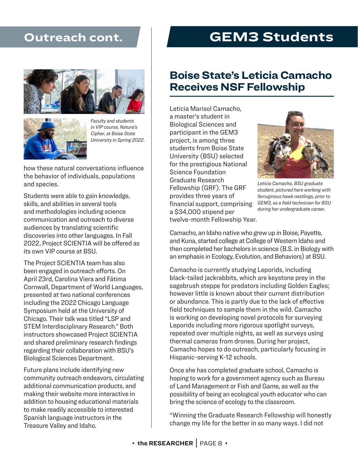#### **Outreach cont.**





*Faculty and students in VIP course, Nature's Cipher, at Boise State University in Spring 2022.*

how these natural conversations influence the behavior of individuals, populations and species.

Students were able to gain knowledge, skills, and abilities in several tools and methodologies including science communication and outreach to diverse audiences by translating scientific discoveries into other languages. In Fall 2022, Project SCIENTIA will be offered as its own VIP course at BSU.

The Project SCIENTIA team has also been engaged in outreach efforts. On April 23rd, Carolina Viera and Fátima Cornwall, Department of World Languages, presented at two national conferences including the 2022 Chicago Language Symposium held at the University of Chicago. Their talk was titled "LSP and STEM Interdisciplinary Research." Both instructors showcased Project SCIENTIA and shared preliminary research findings regarding their collaboration with BSU's Biological Sciences Department.

Future plans include identifying new community outreach endeavors, circulating additional communication products, and making their website more interactive in addition to housing educational materials to make readily accessible to interested Spanish language instructors in the Treasure Valley and Idaho.

#### **GEM3 Students**

#### **Boise State's Leticia Camacho Receives NSF Fellowship**

Leticia Marisol Camacho, a master's student in Biological Sciences and participant in the GEM3 project, is among three students from Boise State University (BSU) selected for the prestigious National Science Foundation Graduate Research Fellowship (GRF). The GRF provides three years of financial support, comprising a \$34,000 stipend per twelve-month Fellowship Year.



*Leticia Camacho, BSU graduate student, pictured here working with ferruginous hawk nestlings, prior to GEM3, as a field technician for BSU during her undergraduate career.* 

Camacho, an Idaho native who grew up in Boise, Payette, and Kuna, started college at College of Western Idaho and then completed her bachelors in science (B.S. in Biology with an emphasis in Ecology, Evolution, and Behaviors) at BSU.

Camacho is currently studying Leporids, including black-tailed jackrabbits, which are keystone prey in the sagebrush steppe for predators including Golden Eagles; however little is known about their current distribution or abundance. This is partly due to the lack of effective field techniques to sample them in the wild. Camacho is working on developing novel protocols for surveying Leporids including more rigorous spotlight surveys, repeated over multiple nights, as well as surveys using thermal cameras from drones. During her project, Camacho hopes to do outreach, particularly focusing in Hispanic-serving K-12 schools.

Once she has completed graduate school, Camacho is hoping to work for a government agency such as Bureau of Land Management or Fish and Game, as well as the possibility of being an ecological youth educator who can bring the science of ecology to the classroom.

"Winning the Graduate Research Fellowship will honestly change my life for the better in so many ways. I did not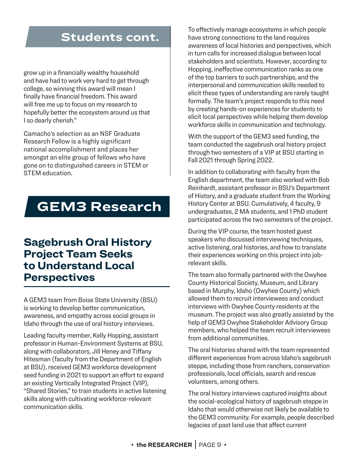#### **Students cont.**

grow up in a financially wealthy household and have had to work very hard to get through college, so winning this award will mean I finally have financial freedom. This award will free me up to focus on my research to hopefully better the ecosystem around us that I so dearly cherish."

Camacho's selection as an NSF Graduate Research Fellow is a highly significant national accomplishment and places her amongst an elite group of fellows who have gone on to distinguished careers in STEM or STEM education.

## **GEM3 Research**

#### **Sagebrush Oral History Project Team Seeks to Understand Local Perspectives**

A GEM3 team from Boise State University (BSU) is working to develop better communication, awareness, and empathy across social groups in Idaho through the use of oral history interviews.

Leading faculty member, Kelly Hopping, assistant professor in Human-Environment Systems at BSU, along with collaborators, Jill Heney and Tiffany Hitesman (faculty from the Department of English at BSU), received GEM3 workforce development seed funding in 2021 to support an effort to expand an existing Vertically Integrated Project (VIP), "Shared Stories," to train students in active listening skills along with cultivating workforce-relevant communication skills.

To effectively manage ecosystems in which people have strong connections to the land requires awareness of local histories and perspectives, which in turn calls for increased dialogue between local stakeholders and scientists. However, according to Hopping, ineffective communication ranks as one of the top barriers to such partnerships, and the interpersonal and communication skills needed to elicit these types of understanding are rarely taught formally. The team's project responds to this need by creating hands-on experiences for students to elicit local perspectives while helping them develop workforce skills in communication and technology.

With the support of the GEM3 seed funding, the team conducted the sagebrush oral history project through two semesters of a VIP at BSU starting in Fall 2021 through Spring 2022.

In addition to collaborating with faculty from the English department, the team also worked with Bob Reinhardt, assistant professor in BSU's Department of History, and a graduate student from the Working History Center at BSU. Cumulatively, 4 faculty, 9 undergraduates, 2 MA students, and 1 PhD student participated across the two semesters of the project.

During the VIP course, the team hosted guest speakers who discussed interviewing techniques, active listening, oral histories, and how to translate their experiences working on this project into jobrelevant skills.

The team also formally partnered with the Owyhee County Historical Society, Museum, and Library based in Murphy, Idaho (Owyhee County) which allowed them to recruit interviewees and conduct interviews with Owyhee County residents at the museum. The project was also greatly assisted by the help of GEM3 Owyhee Stakeholder Advisory Group members, who helped the team recruit interviewees from additional communities.

The oral histories shared with the team represented different experiences from across Idaho's sagebrush steppe, including those from ranchers, conservation professionals, local officials, search and rescue volunteers, among others.

The oral history interviews captured insights about the social-ecological history of sagebrush steppe in Idaho that would otherwise not likely be available to the GEM3 community. For example, people described legacies of past land use that affect current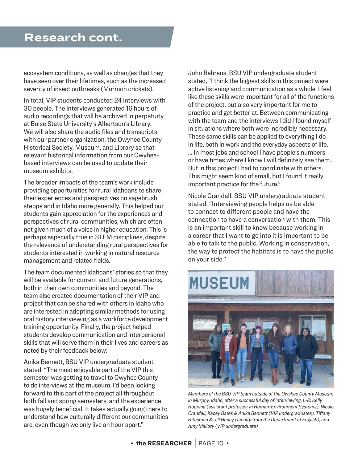ecosystem conditions, as well as changes that they have seen over their lifetimes, such as the increased severity of insect outbreaks (Mormon crickets).

In total, VIP students conducted 24 interviews with 30 people. The interviews generated 16 hours of audio recordings that will be archived in perpetuity at Boise State University's Albertson's Library. We will also share the audio files and transcripts with our partner organization, the Owyhee County Historical Society, Museum, and Library so that relevant historical information from our Owyheebased interviews can be used to update their museum exhibits.

The broader impacts of the team's work include providing opportunities for rural Idahoans to share their experiences and perspectives on sagebrush steppe and in Idaho more generally. This helped our students gain appreciation for the experiences and perspectives of rural communities, which are often not given much of a voice in higher education. This is perhaps especially true in STEM disciplines, despite the relevance of understanding rural perspectives for students interested in working in natural resource management and related fields.

The team documented Idahoans' stories so that they will be available for current and future generations. both in their own communities and beyond. The team also created documentation of their VIP and project that can be shared with others in Idaho who are interested in adopting similar methods for using oral history interviewing as a workforce development training opportunity. Finally, the project helped students develop communication and interpersonal skills that will serve them in their lives and careers as noted by their feedback below:

Anika Bennett, BSU VIP undergraduate student stated, "The most enjoyable part of the VIP this semester was getting to travel to Owyhee County to do interviews at the museum. I'd been looking forward to this part of the project all throughout both fall and spring semesters, and the experience was hugely beneficial! It takes actually going there to understand how culturally different our communities are, even though we only live an hour apart."

John Behrens, BSU VIP undergraduate student stated, "I think the biggest skills in this project were active listening and communication as a whole. I feel like these skills were important for all of the functions of the project, but also very important for me to practice and get better at. Between communicating with the team and the interviews I did I found myself in situations where both were incredibly necessary. These same skills can be applied to everything I do in life, both in work and the everyday aspects of life.

… In most jobs and school I have people's numbers or have times where I know I will definitely see them. But in this project I had to coordinate with others. This might seem kind of small, but I found it really important practice for the future."

Nicole Crandall, BSU VIP undergraduate student stated, "Interviewing people helps us be able to connect to different people and have the connection to have a conversation with them. This is an important skill to know because working in a career that I want to go into it is important to be able to talk to the public. Working in conservation, the way to protect the habitats is to have the public on your side."



*Members of the BSU VIP team outside of the Owyhee County Museum in Murphy, Idaho, after a successful day of interviewing. L-R: Kelly Hopping (assistant professor in Human-Environment Systems), Nicole Crandall, Kacey Bates & Anika Bennett (VIP undergraduates), Tiffany Hitesman & Jill Heney (faculty from the Department of English), and Amy Mallory (VIP undergraduate)*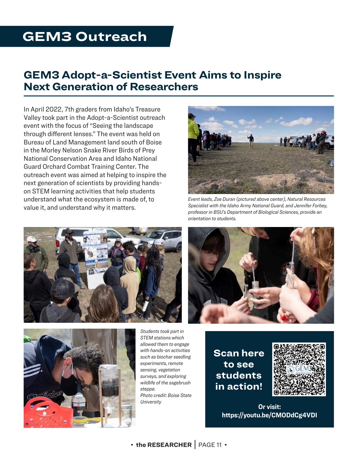## **GEM3 Outreach**

#### **GEM3 Adopt-a-Scientist Event Aims to Inspire Next Generation of Researchers**

In April 2022, 7th graders from Idaho's Treasure Valley took part in the Adopt-a-Scientist outreach event with the focus of "Seeing the landscape through different lenses." The event was held on Bureau of Land Management land south of Boise in the Morley Nelson Snake River Birds of Prey National Conservation Area and Idaho National Guard Orchard Combat Training Center. The outreach event was aimed at helping to inspire the next generation of scientists by providing handson STEM learning activities that help students understand what the ecosystem is made of, to value it, and understand why it matters.





*Event leads, Zoe Duran (pictured above center), Natural Resources Specialist with the Idaho Army National Guard, and Jennifer Forbey, professor in BSU's Department of Biological Sciences, provide an orientation to students.*





*Students took part in STEM stations which allowed them to engage with hands-on activities such as biochar seedling experiments, remote sensing, vegetation surveys, and exploring wildlife of the sagebrush steppe. Photo credit: Boise State University*

**Scan here to see students in action!**



**Or visit: https://youtu.be/CMODdCg4VDI**